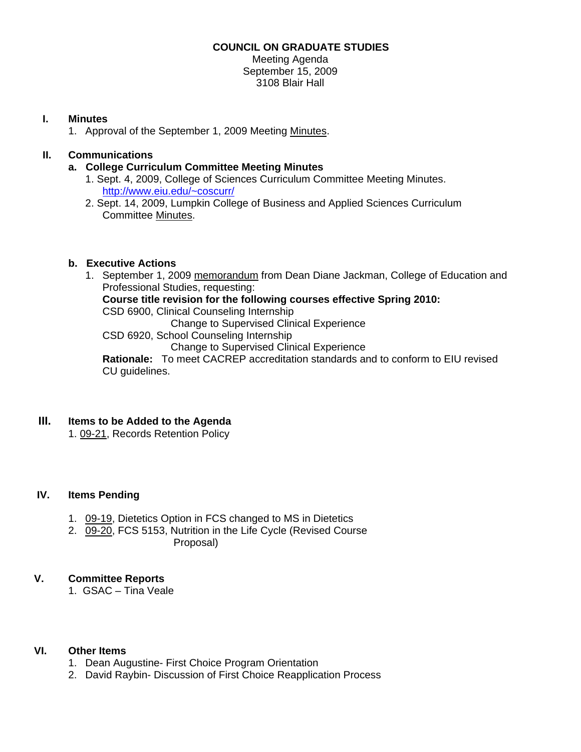### **COUNCIL ON GRADUATE STUDIES**

Meeting Agenda September 15, 2009 3108 Blair Hall

### **I. Minutes**

1. Approval of the September 1, 2009 Meetin[g Minutes.](http://www.eiu.edu/~eiucgs/currentminutes/Minutes9-1-09.pdf) 

# **II. Communications**

- **a. College Curriculum Committee Meeting Minutes** 
	- 1. Sept. 4, 2009, College of Sciences Curriculum Committee Meeting Minutes. <http://www.eiu.edu/~coscurr/>
	- 2. Sept. 14, 2009, Lumpkin College of Business and Applied Sciences Curriculum Committee [Minutes.](http://www.eiu.edu/~eiucgs/currentagendaitems/LCBASMin9-14-09.pdf)

# **b. Executive Actions**

1. September 1, 20[09 memorandum fro](http://www.eiu.edu/~eiucgs/currentagendaitems/ceps-exec-act-9-1-09.pdf)m Dean Diane Jackman, College of Education and Professional Studies, requesting: **Course title revision for the following courses effective Spring 2010:**  CSD 6900, Clinical Counseling Internship Change to Supervised Clinical Experience CSD 6920, School Counseling Internship Change to Supervised Clinical Experience **Rationale:** To meet CACREP accreditation standards and to conform to EIU revised CU guidelines.

# **III. Items to be Added to the Agenda**

[1. 09-21, R](http://www.eiu.edu/~eiucgs/currentagendaitems/agenda09-21.pdf)ecords Retention Policy

### **IV. Items Pending**

- 1. [09-19, D](http://www.eiu.edu/~eiucgs/currentagendaitems/agenda09-19.pdf)ietetics Option in FCS changed to MS in Dietetics
- 2. [09-20, F](http://www.eiu.edu/~eiucgs/currentagendaitems/agenda09-20.pdf)CS 5153, Nutrition in the Life Cycle (Revised Course Proposal)

### **V. Committee Reports**

1. GSAC – Tina Veale

### **VI. Other Items**

- 1. Dean Augustine- First Choice Program Orientation
- 2. David Raybin- Discussion of First Choice Reapplication Process